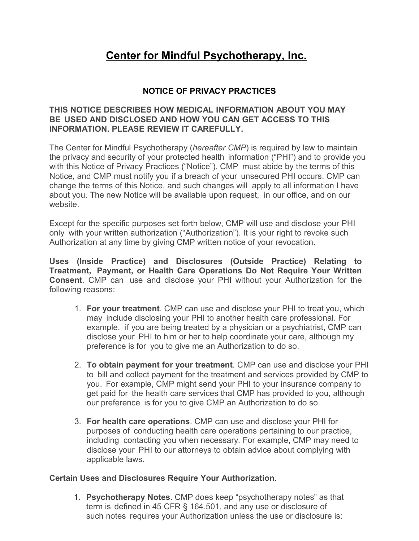# **Center for Mindful Psychotherapy, Inc.**

# **NOTICE OF PRIVACY PRACTICES**

## **THIS NOTICE DESCRIBES HOW MEDICAL INFORMATION ABOUT YOU MAY BE USED AND DISCLOSED AND HOW YOU CAN GET ACCESS TO THIS INFORMATION. PLEASE REVIEW IT CAREFULLY.**

The Center for Mindful Psychotherapy (*hereafter CMP*) is required by law to maintain the privacy and security of your protected health information ("PHI") and to provide you with this Notice of Privacy Practices ("Notice"). CMP must abide by the terms of this Notice, and CMP must notify you if a breach of your unsecured PHI occurs. CMP can change the terms of this Notice, and such changes will apply to all information I have about you. The new Notice will be available upon request, in our office, and on our website.

Except for the specific purposes set forth below, CMP will use and disclose your PHI only with your written authorization ("Authorization"). It is your right to revoke such Authorization at any time by giving CMP written notice of your revocation.

**Uses (Inside Practice) and Disclosures (Outside Practice) Relating to Treatment, Payment, or Health Care Operations Do Not Require Your Written Consent**. CMP can use and disclose your PHI without your Authorization for the following reasons:

- 1. **For your treatment**. CMP can use and disclose your PHI to treat you, which may include disclosing your PHI to another health care professional. For example, if you are being treated by a physician or a psychiatrist, CMP can disclose your PHI to him or her to help coordinate your care, although my preference is for you to give me an Authorization to do so.
- 2. **To obtain payment for your treatment**. CMP can use and disclose your PHI to bill and collect payment for the treatment and services provided by CMP to you. For example, CMP might send your PHI to your insurance company to get paid for the health care services that CMP has provided to you, although our preference is for you to give CMP an Authorization to do so.
- 3. **For health care operations**. CMP can use and disclose your PHI for purposes of conducting health care operations pertaining to our practice, including contacting you when necessary. For example, CMP may need to disclose your PHI to our attorneys to obtain advice about complying with applicable laws.

#### **Certain Uses and Disclosures Require Your Authorization**.

1. **Psychotherapy Notes**. CMP does keep "psychotherapy notes" as that term is defined in 45 CFR § 164.501, and any use or disclosure of such notes requires your Authorization unless the use or disclosure is: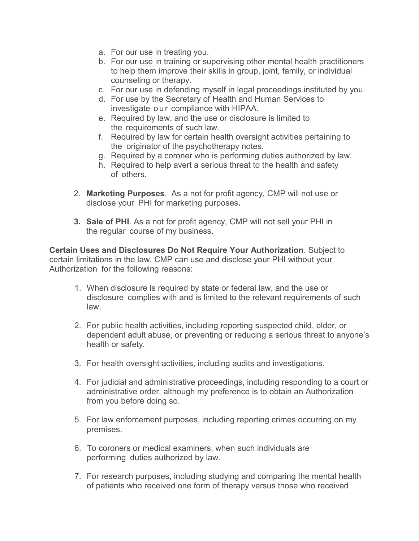- a. For our use in treating you.
- b. For our use in training or supervising other mental health practitioners to help them improve their skills in group, joint, family, or individual counseling or therapy.
- c. For our use in defending myself in legal proceedings instituted by you.
- d. For use by the Secretary of Health and Human Services to investigate our compliance with HIPAA.
- e. Required by law, and the use or disclosure is limited to the requirements of such law.
- f. Required by law for certain health oversight activities pertaining to the originator of the psychotherapy notes.
- g. Required by a coroner who is performing duties authorized by law.
- h. Required to help avert a serious threat to the health and safety of others.
- 2. **Marketing Purposes**. As a not for profit agency, CMP will not use or disclose your PHI for marketing purposes**.**
- **3. Sale of PHI**. As a not for profit agency, CMP will not sell your PHI in the regular course of my business.

**Certain Uses and Disclosures Do Not Require Your Authorization**. Subject to certain limitations in the law, CMP can use and disclose your PHI without your Authorization for the following reasons:

- 1. When disclosure is required by state or federal law, and the use or disclosure complies with and is limited to the relevant requirements of such law.
- 2. For public health activities, including reporting suspected child, elder, or dependent adult abuse, or preventing or reducing a serious threat to anyone's health or safety.
- 3. For health oversight activities, including audits and investigations.
- 4. For judicial and administrative proceedings, including responding to a court or administrative order, although my preference is to obtain an Authorization from you before doing so.
- 5. For law enforcement purposes, including reporting crimes occurring on my premises.
- 6. To coroners or medical examiners, when such individuals are performing duties authorized by law.
- 7. For research purposes, including studying and comparing the mental health of patients who received one form of therapy versus those who received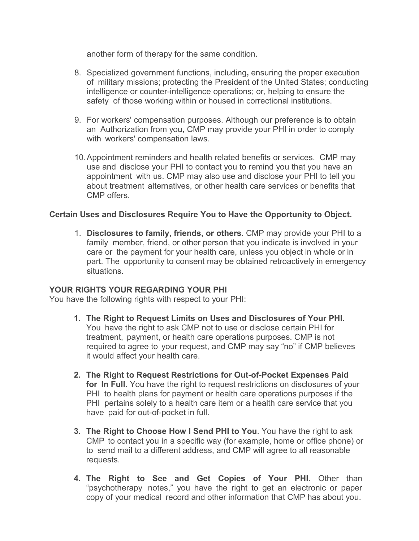another form of therapy for the same condition.

- 8. Specialized government functions, including**,** ensuring the proper execution of military missions; protecting the President of the United States; conducting intelligence or counter-intelligence operations; or, helping to ensure the safety of those working within or housed in correctional institutions.
- 9. For workers' compensation purposes. Although our preference is to obtain an Authorization from you, CMP may provide your PHI in order to comply with workers' compensation laws.
- 10.Appointment reminders and health related benefits or services. CMP may use and disclose your PHI to contact you to remind you that you have an appointment with us. CMP may also use and disclose your PHI to tell you about treatment alternatives, or other health care services or benefits that CMP offers.

## **Certain Uses and Disclosures Require You to Have the Opportunity to Object.**

1. **Disclosures to family, friends, or others**. CMP may provide your PHI to a family member, friend, or other person that you indicate is involved in your care or the payment for your health care, unless you object in whole or in part. The opportunity to consent may be obtained retroactively in emergency situations.

#### **YOUR RIGHTS YOUR REGARDING YOUR PHI**

You have the following rights with respect to your PHI:

- **1. The Right to Request Limits on Uses and Disclosures of Your PHI**. You have the right to ask CMP not to use or disclose certain PHI for treatment, payment, or health care operations purposes. CMP is not required to agree to your request, and CMP may say "no" if CMP believes it would affect your health care.
- **2. The Right to Request Restrictions for Out-of-Pocket Expenses Paid for In Full.** You have the right to request restrictions on disclosures of your PHI to health plans for payment or health care operations purposes if the PHI pertains solely to a health care item or a health care service that you have paid for out-of-pocket in full.
- **3. The Right to Choose How I Send PHI to You**. You have the right to ask CMP to contact you in a specific way (for example, home or office phone) or to send mail to a different address, and CMP will agree to all reasonable requests.
- **4. The Right to See and Get Copies of Your PHI**. Other than "psychotherapy notes," you have the right to get an electronic or paper copy of your medical record and other information that CMP has about you.